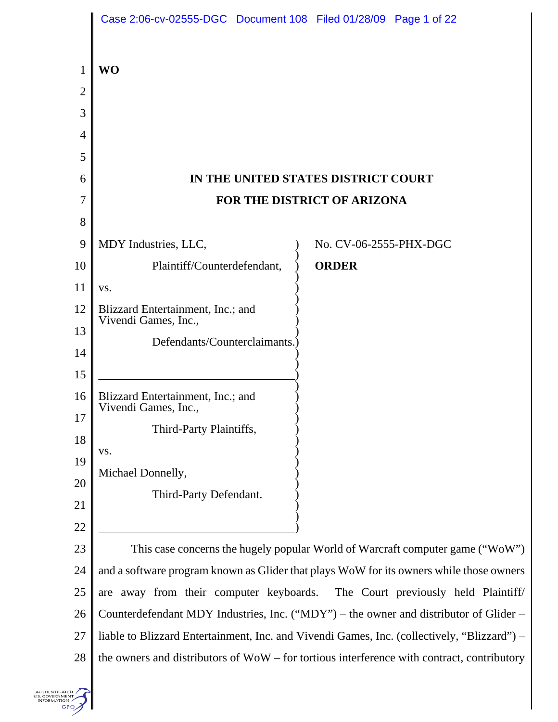|                | Case 2:06-cv-02555-DGC  Document 108  Filed 01/28/09  Page 1 of 22                          |
|----------------|---------------------------------------------------------------------------------------------|
| 1              | <b>WO</b>                                                                                   |
| $\overline{2}$ |                                                                                             |
| 3              |                                                                                             |
| 4              |                                                                                             |
| 5              |                                                                                             |
| 6              | IN THE UNITED STATES DISTRICT COURT                                                         |
| 7              | FOR THE DISTRICT OF ARIZONA                                                                 |
| 8              |                                                                                             |
| 9              | MDY Industries, LLC,<br>No. CV-06-2555-PHX-DGC                                              |
| 10             | Plaintiff/Counterdefendant,<br><b>ORDER</b>                                                 |
| 11             | VS.                                                                                         |
| 12             | Blizzard Entertainment, Inc.; and<br>Vivendi Games, Inc.,                                   |
| 13             | Defendants/Counterclaimants.)                                                               |
| 14             |                                                                                             |
| 15             |                                                                                             |
| 16             | Blizzard Entertainment, Inc.; and<br>Vivendi Games, Inc.,                                   |
| 17             | Third-Party Plaintiffs,                                                                     |
| 18             | VS.                                                                                         |
| 19             | Michael Donnelly,                                                                           |
| 20             | Third-Party Defendant.                                                                      |
| 21             |                                                                                             |
| 22             |                                                                                             |
| 23             | This case concerns the hugely popular World of Warcraft computer game ("WoW")               |
| 24             | and a software program known as Glider that plays WoW for its owners while those owners     |
| $25\,$         | are away from their computer keyboards. The Court previously held Plaintiff/                |
| 26             | Counterdefendant MDY Industries, Inc. ("MDY") – the owner and distributor of Glider –       |
| 27             | liable to Blizzard Entertainment, Inc. and Vivendi Games, Inc. (collectively, "Blizzard") – |
| 28             | the owners and distributors of WoW – for tortious interference with contract, contributory  |
|                |                                                                                             |

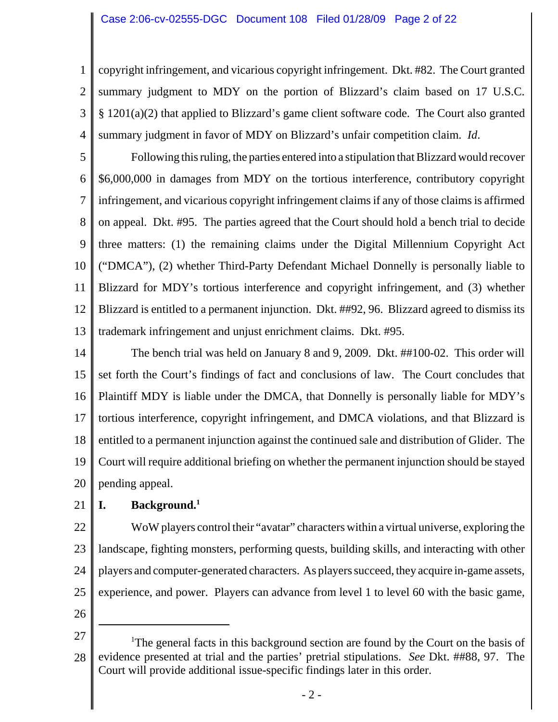1 2 3 4 copyright infringement, and vicarious copyright infringement. Dkt. #82. The Court granted summary judgment to MDY on the portion of Blizzard's claim based on 17 U.S.C. § 1201(a)(2) that applied to Blizzard's game client software code. The Court also granted summary judgment in favor of MDY on Blizzard's unfair competition claim. *Id*.

5 6 7 8 9 10 11 12 13 Following this ruling, the parties entered into a stipulation that Blizzard would recover \$6,000,000 in damages from MDY on the tortious interference, contributory copyright infringement, and vicarious copyright infringement claims if any of those claims is affirmed on appeal. Dkt. #95. The parties agreed that the Court should hold a bench trial to decide three matters: (1) the remaining claims under the Digital Millennium Copyright Act ("DMCA"), (2) whether Third-Party Defendant Michael Donnelly is personally liable to Blizzard for MDY's tortious interference and copyright infringement, and (3) whether Blizzard is entitled to a permanent injunction. Dkt. ##92, 96. Blizzard agreed to dismiss its trademark infringement and unjust enrichment claims. Dkt. #95.

14 15 16 17 18 19 20 The bench trial was held on January 8 and 9, 2009. Dkt. ##100-02. This order will set forth the Court's findings of fact and conclusions of law. The Court concludes that Plaintiff MDY is liable under the DMCA, that Donnelly is personally liable for MDY's tortious interference, copyright infringement, and DMCA violations, and that Blizzard is entitled to a permanent injunction against the continued sale and distribution of Glider. The Court will require additional briefing on whether the permanent injunction should be stayed pending appeal.

21 **I. Background.1**

22 23 24 25 WoW players control their "avatar" characters within a virtual universe, exploring the landscape, fighting monsters, performing quests, building skills, and interacting with other players and computer-generated characters. As players succeed, they acquire in-game assets, experience, and power. Players can advance from level 1 to level 60 with the basic game,

<sup>27</sup> 28 <sup>1</sup>The general facts in this background section are found by the Court on the basis of evidence presented at trial and the parties' pretrial stipulations. *See* Dkt. ##88, 97. The Court will provide additional issue-specific findings later in this order.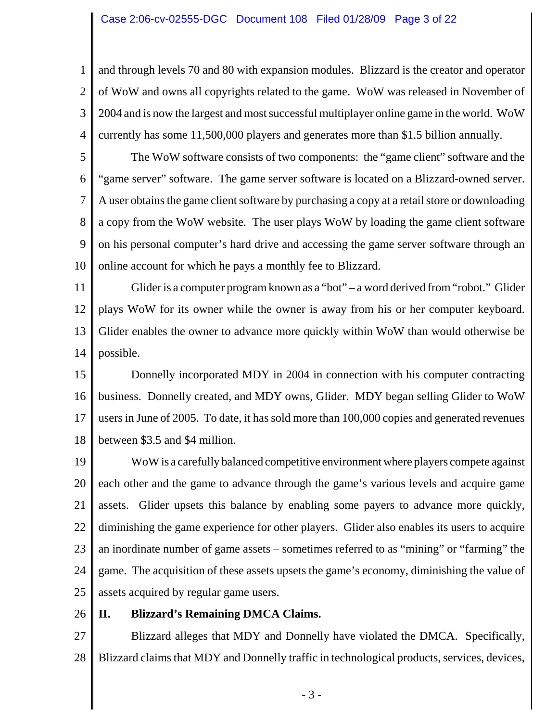#### Case 2:06-cv-02555-DGC Document 108 Filed 01/28/09 Page 3 of 22

1 2 3 4 and through levels 70 and 80 with expansion modules. Blizzard is the creator and operator of WoW and owns all copyrights related to the game. WoW was released in November of 2004 and is now the largest and most successful multiplayer online game in the world. WoW currently has some 11,500,000 players and generates more than \$1.5 billion annually.

5 6 7 8 9 10 The WoW software consists of two components: the "game client" software and the "game server" software. The game server software is located on a Blizzard-owned server. A user obtains the game client software by purchasing a copy at a retail store or downloading a copy from the WoW website. The user plays WoW by loading the game client software on his personal computer's hard drive and accessing the game server software through an online account for which he pays a monthly fee to Blizzard.

11 12 13 14 Glider is a computer program known as a "bot" – a word derived from "robot." Glider plays WoW for its owner while the owner is away from his or her computer keyboard. Glider enables the owner to advance more quickly within WoW than would otherwise be possible.

15 16 17 18 Donnelly incorporated MDY in 2004 in connection with his computer contracting business. Donnelly created, and MDY owns, Glider. MDY began selling Glider to WoW users in June of 2005. To date, it has sold more than 100,000 copies and generated revenues between \$3.5 and \$4 million.

19 20 21 22 23 24 25 WoW is a carefully balanced competitive environment where players compete against each other and the game to advance through the game's various levels and acquire game assets. Glider upsets this balance by enabling some payers to advance more quickly, diminishing the game experience for other players. Glider also enables its users to acquire an inordinate number of game assets – sometimes referred to as "mining" or "farming" the game. The acquisition of these assets upsets the game's economy, diminishing the value of assets acquired by regular game users.

26 **II. Blizzard's Remaining DMCA Claims.**

27 28 Blizzard alleges that MDY and Donnelly have violated the DMCA. Specifically, Blizzard claims that MDY and Donnelly traffic in technological products, services, devices,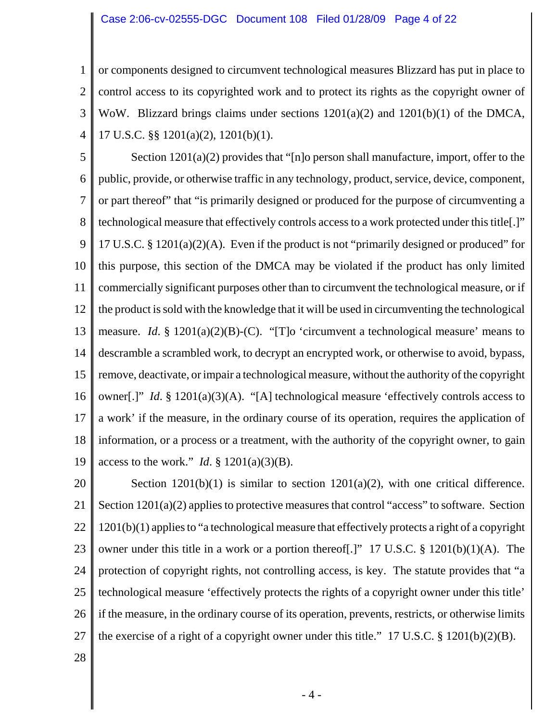#### Case 2:06-cv-02555-DGC Document 108 Filed 01/28/09 Page 4 of 22

1 2 3 4 or components designed to circumvent technological measures Blizzard has put in place to control access to its copyrighted work and to protect its rights as the copyright owner of WoW. Blizzard brings claims under sections 1201(a)(2) and 1201(b)(1) of the DMCA, 17 U.S.C. §§ 1201(a)(2), 1201(b)(1).

5 6 7 8 9 10 11 12 13 14 15 16 17 18 19 Section 1201(a)(2) provides that "[n]o person shall manufacture, import, offer to the public, provide, or otherwise traffic in any technology, product, service, device, component, or part thereof" that "is primarily designed or produced for the purpose of circumventing a technological measure that effectively controls access to a work protected under this title[.]" 17 U.S.C. § 1201(a)(2)(A). Even if the product is not "primarily designed or produced" for this purpose, this section of the DMCA may be violated if the product has only limited commercially significant purposes other than to circumvent the technological measure, or if the product is sold with the knowledge that it will be used in circumventing the technological measure. *Id*. § 1201(a)(2)(B)-(C). "[T]o 'circumvent a technological measure' means to descramble a scrambled work, to decrypt an encrypted work, or otherwise to avoid, bypass, remove, deactivate, or impair a technological measure, without the authority of the copyright owner[.]" *Id*. § 1201(a)(3)(A). "[A] technological measure 'effectively controls access to a work' if the measure, in the ordinary course of its operation, requires the application of information, or a process or a treatment, with the authority of the copyright owner, to gain access to the work." *Id*. § 1201(a)(3)(B).

20 21 22 23 24 25 26 27 Section  $1201(b)(1)$  is similar to section  $1201(a)(2)$ , with one critical difference. Section  $1201(a)(2)$  applies to protective measures that control "access" to software. Section 1201(b)(1) applies to "a technological measure that effectively protects a right of a copyright owner under this title in a work or a portion thereof[.]" 17 U.S.C. § 1201(b)(1)(A). The protection of copyright rights, not controlling access, is key. The statute provides that "a technological measure 'effectively protects the rights of a copyright owner under this title' if the measure, in the ordinary course of its operation, prevents, restricts, or otherwise limits the exercise of a right of a copyright owner under this title." 17 U.S.C.  $\S$  1201(b)(2)(B).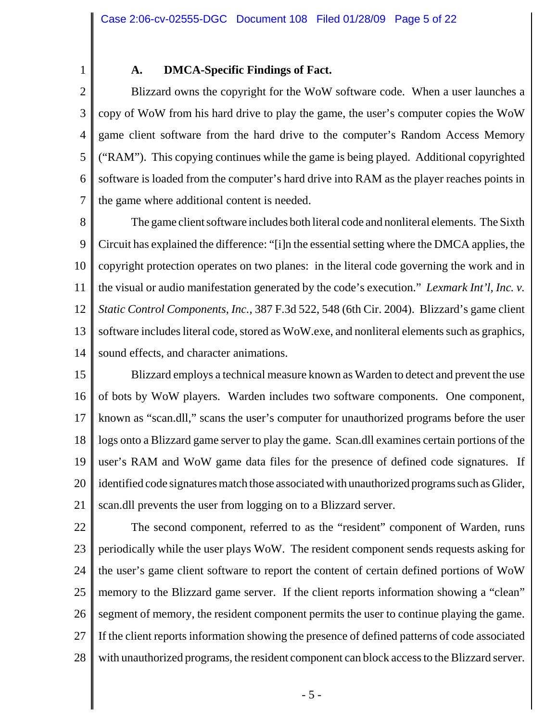1

### **A. DMCA-Specific Findings of Fact.**

2 3 4 5 6 7 Blizzard owns the copyright for the WoW software code. When a user launches a copy of WoW from his hard drive to play the game, the user's computer copies the WoW game client software from the hard drive to the computer's Random Access Memory ("RAM"). This copying continues while the game is being played. Additional copyrighted software is loaded from the computer's hard drive into RAM as the player reaches points in the game where additional content is needed.

8 9 10 11 12 13 14 The game client software includes both literal code and nonliteral elements. The Sixth Circuit has explained the difference: "[i]n the essential setting where the DMCA applies, the copyright protection operates on two planes: in the literal code governing the work and in the visual or audio manifestation generated by the code's execution." *Lexmark Int'l, Inc. v. Static Control Components, Inc.*, 387 F.3d 522, 548 (6th Cir. 2004). Blizzard's game client software includes literal code, stored as WoW.exe, and nonliteral elements such as graphics, sound effects, and character animations.

15 16 17 18 19 20 21 Blizzard employs a technical measure known as Warden to detect and prevent the use of bots by WoW players. Warden includes two software components. One component, known as "scan.dll," scans the user's computer for unauthorized programs before the user logs onto a Blizzard game server to play the game. Scan.dll examines certain portions of the user's RAM and WoW game data files for the presence of defined code signatures. If identified code signatures match those associated with unauthorized programs such as Glider, scan.dll prevents the user from logging on to a Blizzard server.

22 23 24 25 26 27 28 The second component, referred to as the "resident" component of Warden, runs periodically while the user plays WoW. The resident component sends requests asking for the user's game client software to report the content of certain defined portions of WoW memory to the Blizzard game server. If the client reports information showing a "clean" segment of memory, the resident component permits the user to continue playing the game. If the client reports information showing the presence of defined patterns of code associated with unauthorized programs, the resident component can block access to the Blizzard server.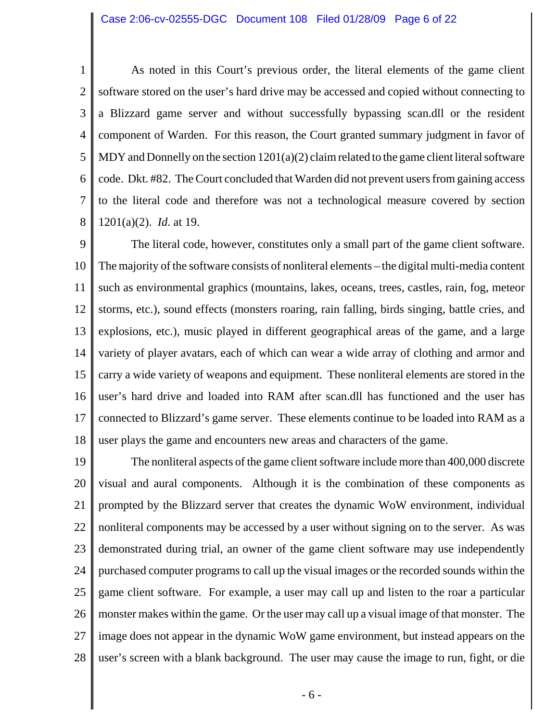1 2 3 4 5 6 7 8 As noted in this Court's previous order, the literal elements of the game client software stored on the user's hard drive may be accessed and copied without connecting to a Blizzard game server and without successfully bypassing scan.dll or the resident component of Warden. For this reason, the Court granted summary judgment in favor of MDY and Donnelly on the section 1201(a)(2) claim related to the game client literal software code. Dkt. #82. The Court concluded that Warden did not prevent users from gaining access to the literal code and therefore was not a technological measure covered by section 1201(a)(2). *Id*. at 19.

9 10 11 12 13 14 15 16 17 18 The literal code, however, constitutes only a small part of the game client software. The majority of the software consists of nonliteral elements – the digital multi-media content such as environmental graphics (mountains, lakes, oceans, trees, castles, rain, fog, meteor storms, etc.), sound effects (monsters roaring, rain falling, birds singing, battle cries, and explosions, etc.), music played in different geographical areas of the game, and a large variety of player avatars, each of which can wear a wide array of clothing and armor and carry a wide variety of weapons and equipment. These nonliteral elements are stored in the user's hard drive and loaded into RAM after scan.dll has functioned and the user has connected to Blizzard's game server. These elements continue to be loaded into RAM as a user plays the game and encounters new areas and characters of the game.

19 20 21 22 23 24 25 26 27 28 The nonliteral aspects of the game client software include more than 400,000 discrete visual and aural components. Although it is the combination of these components as prompted by the Blizzard server that creates the dynamic WoW environment, individual nonliteral components may be accessed by a user without signing on to the server. As was demonstrated during trial, an owner of the game client software may use independently purchased computer programs to call up the visual images or the recorded sounds within the game client software. For example, a user may call up and listen to the roar a particular monster makes within the game. Or the user may call up a visual image of that monster. The image does not appear in the dynamic WoW game environment, but instead appears on the user's screen with a blank background. The user may cause the image to run, fight, or die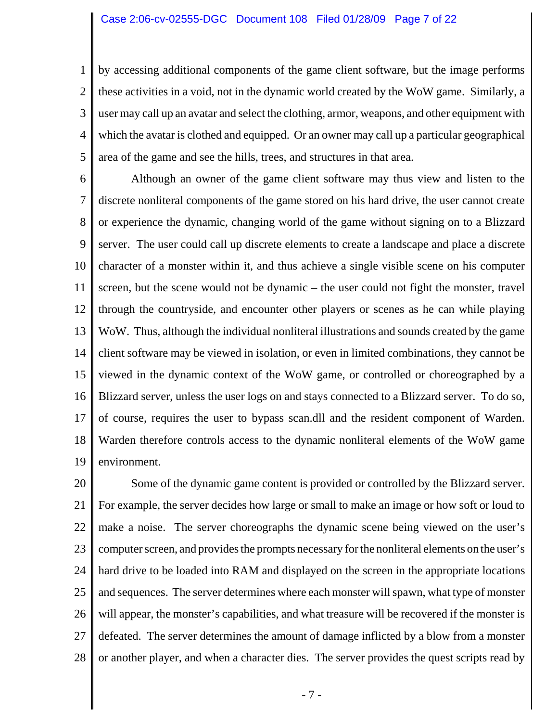1 2 3 4 5 by accessing additional components of the game client software, but the image performs these activities in a void, not in the dynamic world created by the WoW game. Similarly, a user may call up an avatar and select the clothing, armor, weapons, and other equipment with which the avatar is clothed and equipped. Or an owner may call up a particular geographical area of the game and see the hills, trees, and structures in that area.

6 7 8 9 10 11 12 13 14 15 16 17 18 19 Although an owner of the game client software may thus view and listen to the discrete nonliteral components of the game stored on his hard drive, the user cannot create or experience the dynamic, changing world of the game without signing on to a Blizzard server. The user could call up discrete elements to create a landscape and place a discrete character of a monster within it, and thus achieve a single visible scene on his computer screen, but the scene would not be dynamic – the user could not fight the monster, travel through the countryside, and encounter other players or scenes as he can while playing WoW. Thus, although the individual nonliteral illustrations and sounds created by the game client software may be viewed in isolation, or even in limited combinations, they cannot be viewed in the dynamic context of the WoW game, or controlled or choreographed by a Blizzard server, unless the user logs on and stays connected to a Blizzard server. To do so, of course, requires the user to bypass scan.dll and the resident component of Warden. Warden therefore controls access to the dynamic nonliteral elements of the WoW game environment.

20 21 22 23 24 25 26 27 28 Some of the dynamic game content is provided or controlled by the Blizzard server. For example, the server decides how large or small to make an image or how soft or loud to make a noise. The server choreographs the dynamic scene being viewed on the user's computer screen, and provides the prompts necessary for the nonliteral elements on the user's hard drive to be loaded into RAM and displayed on the screen in the appropriate locations and sequences. The server determines where each monster will spawn, what type of monster will appear, the monster's capabilities, and what treasure will be recovered if the monster is defeated. The server determines the amount of damage inflicted by a blow from a monster or another player, and when a character dies. The server provides the quest scripts read by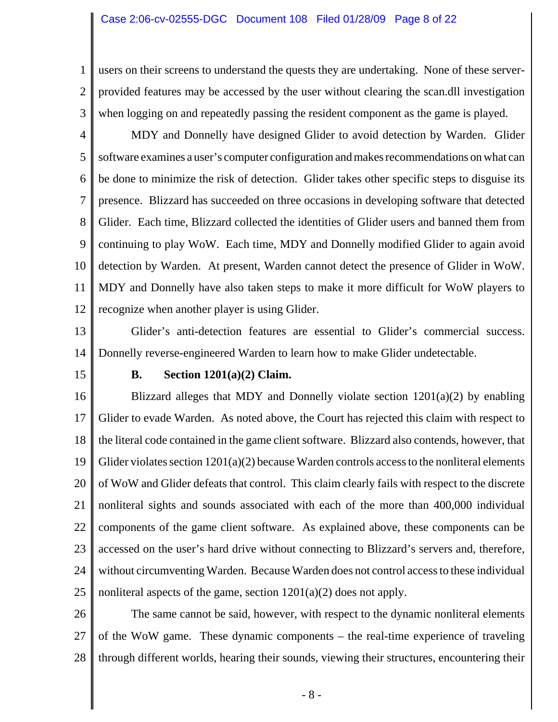1 2 3 users on their screens to understand the quests they are undertaking. None of these serverprovided features may be accessed by the user without clearing the scan.dll investigation when logging on and repeatedly passing the resident component as the game is played.

- 4 5 6 7 8 9 10 11 12 MDY and Donnelly have designed Glider to avoid detection by Warden. Glider software examines a user's computer configuration and makes recommendations on what can be done to minimize the risk of detection. Glider takes other specific steps to disguise its presence. Blizzard has succeeded on three occasions in developing software that detected Glider. Each time, Blizzard collected the identities of Glider users and banned them from continuing to play WoW. Each time, MDY and Donnelly modified Glider to again avoid detection by Warden. At present, Warden cannot detect the presence of Glider in WoW. MDY and Donnelly have also taken steps to make it more difficult for WoW players to recognize when another player is using Glider.
- 13 14 Glider's anti-detection features are essential to Glider's commercial success. Donnelly reverse-engineered Warden to learn how to make Glider undetectable.
- 15

#### **B. Section 1201(a)(2) Claim.**

16 17 18 19 20 21 22 23 24 25 Blizzard alleges that MDY and Donnelly violate section  $1201(a)(2)$  by enabling Glider to evade Warden. As noted above, the Court has rejected this claim with respect to the literal code contained in the game client software. Blizzard also contends, however, that Glider violates section  $1201(a)(2)$  because Warden controls access to the nonliteral elements of WoW and Glider defeats that control. This claim clearly fails with respect to the discrete nonliteral sights and sounds associated with each of the more than 400,000 individual components of the game client software. As explained above, these components can be accessed on the user's hard drive without connecting to Blizzard's servers and, therefore, without circumventing Warden. Because Warden does not control access to these individual nonliteral aspects of the game, section 1201(a)(2) does not apply.

26 27 28 The same cannot be said, however, with respect to the dynamic nonliteral elements of the WoW game. These dynamic components – the real-time experience of traveling through different worlds, hearing their sounds, viewing their structures, encountering their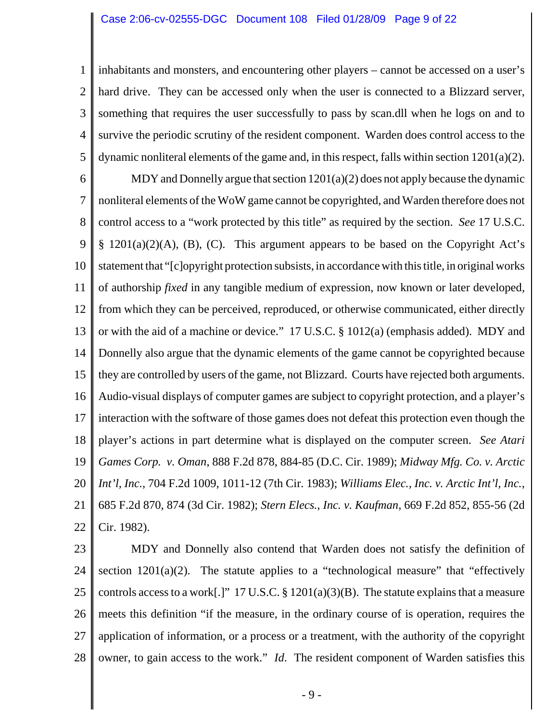1 2 3 4 5 inhabitants and monsters, and encountering other players – cannot be accessed on a user's hard drive. They can be accessed only when the user is connected to a Blizzard server, something that requires the user successfully to pass by scan.dll when he logs on and to survive the periodic scrutiny of the resident component. Warden does control access to the dynamic nonliteral elements of the game and, in this respect, falls within section 1201(a)(2).

6 7 8 9 10 11 12 13 14 15 16 17 18 19 20 21 22 MDY and Donnelly argue that section 1201(a)(2) does not apply because the dynamic nonliteral elements of the WoW game cannot be copyrighted, and Warden therefore does not control access to a "work protected by this title" as required by the section. *See* 17 U.S.C.  $\S$  1201(a)(2)(A), (B), (C). This argument appears to be based on the Copyright Act's statement that "[c]opyright protection subsists, in accordance with this title, in original works of authorship *fixed* in any tangible medium of expression, now known or later developed, from which they can be perceived, reproduced, or otherwise communicated, either directly or with the aid of a machine or device." 17 U.S.C. § 1012(a) (emphasis added). MDY and Donnelly also argue that the dynamic elements of the game cannot be copyrighted because they are controlled by users of the game, not Blizzard. Courts have rejected both arguments. Audio-visual displays of computer games are subject to copyright protection, and a player's interaction with the software of those games does not defeat this protection even though the player's actions in part determine what is displayed on the computer screen. *See Atari Games Corp. v. Oman*, 888 F.2d 878, 884-85 (D.C. Cir. 1989); *Midway Mfg. Co. v. Arctic Int'l, Inc.*, 704 F.2d 1009, 1011-12 (7th Cir. 1983); *Williams Elec., Inc. v. Arctic Int'l, Inc.*, 685 F.2d 870, 874 (3d Cir. 1982); *Stern Elecs., Inc. v. Kaufman*, 669 F.2d 852, 855-56 (2d Cir. 1982).

23 24 25 26 27 28 MDY and Donnelly also contend that Warden does not satisfy the definition of section  $1201(a)(2)$ . The statute applies to a "technological measure" that "effectively controls access to a work[.]" 17 U.S.C.  $\S 1201(a)(3)(B)$ . The statute explains that a measure meets this definition "if the measure, in the ordinary course of is operation, requires the application of information, or a process or a treatment, with the authority of the copyright owner, to gain access to the work." *Id*. The resident component of Warden satisfies this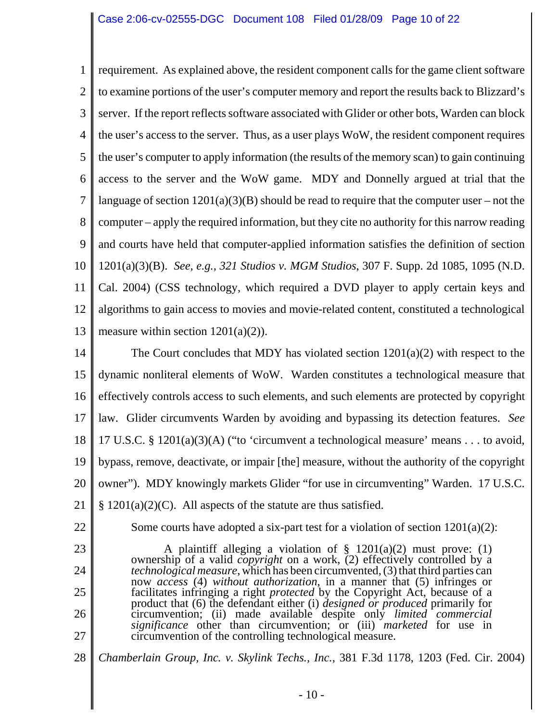1 2 3 4 5 6 7 8 9 10 11 12 13 requirement. As explained above, the resident component calls for the game client software to examine portions of the user's computer memory and report the results back to Blizzard's server. If the report reflects software associated with Glider or other bots, Warden can block the user's access to the server. Thus, as a user plays WoW, the resident component requires the user's computer to apply information (the results of the memory scan) to gain continuing access to the server and the WoW game. MDY and Donnelly argued at trial that the language of section  $1201(a)(3)(B)$  should be read to require that the computer user – not the computer – apply the required information, but they cite no authority for this narrow reading and courts have held that computer-applied information satisfies the definition of section 1201(a)(3)(B). *See, e.g.*, *321 Studios v. MGM Studios*, 307 F. Supp. 2d 1085, 1095 (N.D. Cal. 2004) (CSS technology, which required a DVD player to apply certain keys and algorithms to gain access to movies and movie-related content, constituted a technological measure within section  $1201(a)(2)$ ).

14 15 16 17 18 19 20 21 The Court concludes that MDY has violated section 1201(a)(2) with respect to the dynamic nonliteral elements of WoW. Warden constitutes a technological measure that effectively controls access to such elements, and such elements are protected by copyright law. Glider circumvents Warden by avoiding and bypassing its detection features. *See* 17 U.S.C. § 1201(a)(3)(A) ("to 'circumvent a technological measure' means . . . to avoid, bypass, remove, deactivate, or impair [the] measure, without the authority of the copyright owner"). MDY knowingly markets Glider "for use in circumventing" Warden. 17 U.S.C.  $§ 1201(a)(2)(C)$ . All aspects of the statute are thus satisfied.

22

23

24

25

26

Some courts have adopted a six-part test for a violation of section  $1201(a)(2)$ :

A plaintiff alleging a violation of  $\S$  1201(a)(2) must prove: (1) ownership of a valid *copyright* on a work, (2) effectively controlled by a *technological measure*, which has been circumvented, (3) that third parties can now *access* (4) *without authorization*, in a manner that (5) infringes or facilitates infringing a right *protected* by the Copyright Act, because of a product that (6) the defendant either (i) *designed or produced* primarily for circumvention; (ii) made available despite only *limited commercial significance* other than circumvention; or (iii) *marketed* for use in circumvention of the controlling technological measure.

27 28

*Chamberlain Group, Inc. v. Skylink Techs., Inc.*, 381 F.3d 1178, 1203 (Fed. Cir. 2004)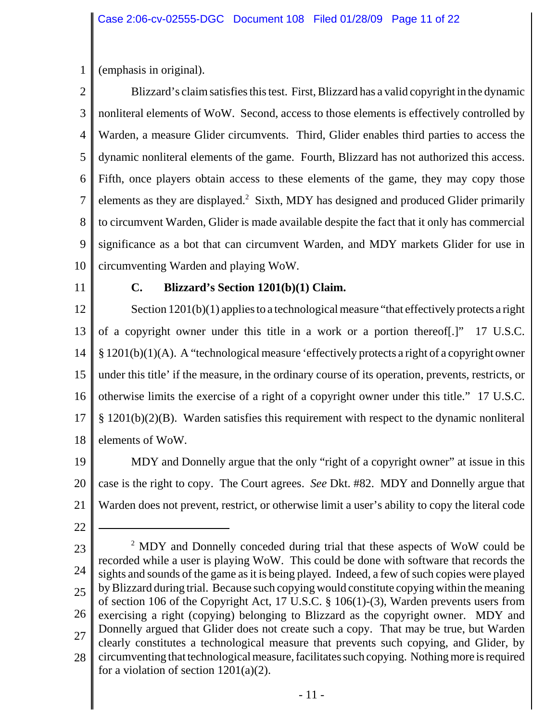1 (emphasis in original).

2 3 4 5 6 7 8 9 10 Blizzard's claim satisfies this test. First, Blizzard has a valid copyright in the dynamic nonliteral elements of WoW. Second, access to those elements is effectively controlled by Warden, a measure Glider circumvents. Third, Glider enables third parties to access the dynamic nonliteral elements of the game. Fourth, Blizzard has not authorized this access. Fifth, once players obtain access to these elements of the game, they may copy those elements as they are displayed.<sup>2</sup> Sixth, MDY has designed and produced Glider primarily to circumvent Warden, Glider is made available despite the fact that it only has commercial significance as a bot that can circumvent Warden, and MDY markets Glider for use in circumventing Warden and playing WoW.

11

### **C. Blizzard's Section 1201(b)(1) Claim.**

12 13 14 15 16 17 18 Section 1201(b)(1) applies to a technological measure "that effectively protects a right of a copyright owner under this title in a work or a portion thereof[.]" 17 U.S.C. § 1201(b)(1)(A). A "technological measure 'effectively protects a right of a copyright owner under this title' if the measure, in the ordinary course of its operation, prevents, restricts, or otherwise limits the exercise of a right of a copyright owner under this title." 17 U.S.C. § 1201(b)(2)(B). Warden satisfies this requirement with respect to the dynamic nonliteral elements of WoW.

19 20 21 MDY and Donnelly argue that the only "right of a copyright owner" at issue in this case is the right to copy. The Court agrees. *See* Dkt. #82. MDY and Donnelly argue that Warden does not prevent, restrict, or otherwise limit a user's ability to copy the literal code

22

23 24 25 26 27 28 <sup>2</sup> MDY and Donnelly conceded during trial that these aspects of WoW could be recorded while a user is playing WoW. This could be done with software that records the sights and sounds of the game as it is being played. Indeed, a few of such copies were played by Blizzard during trial. Because such copying would constitute copying within the meaning of section 106 of the Copyright Act, 17 U.S.C. § 106(1)-(3), Warden prevents users from exercising a right (copying) belonging to Blizzard as the copyright owner. MDY and Donnelly argued that Glider does not create such a copy. That may be true, but Warden clearly constitutes a technological measure that prevents such copying, and Glider, by circumventing that technological measure, facilitates such copying. Nothing more is required for a violation of section  $1201(a)(2)$ .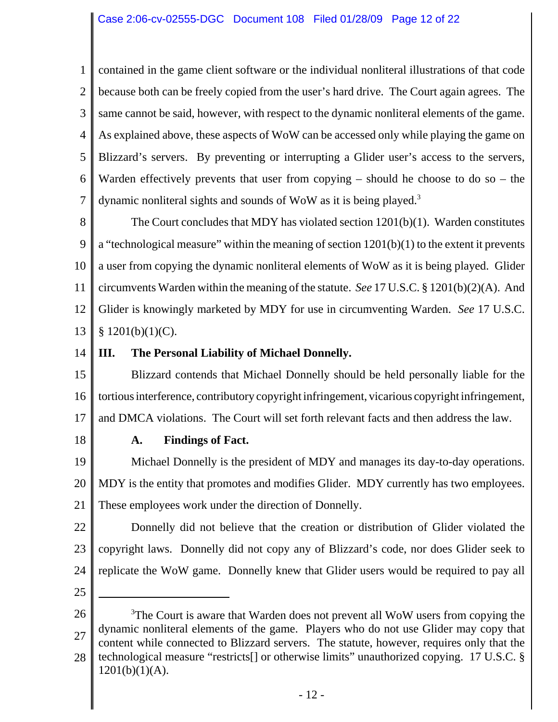1 2 3 4 5 6 7 contained in the game client software or the individual nonliteral illustrations of that code because both can be freely copied from the user's hard drive. The Court again agrees. The same cannot be said, however, with respect to the dynamic nonliteral elements of the game. As explained above, these aspects of WoW can be accessed only while playing the game on Blizzard's servers. By preventing or interrupting a Glider user's access to the servers, Warden effectively prevents that user from copying – should he choose to do so – the dynamic nonliteral sights and sounds of WoW as it is being played.<sup>3</sup>

8 9 10 11 12 13 The Court concludes that MDY has violated section 1201(b)(1). Warden constitutes a "technological measure" within the meaning of section  $1201(b)(1)$  to the extent it prevents a user from copying the dynamic nonliteral elements of WoW as it is being played. Glider circumvents Warden within the meaning of the statute. *See* 17 U.S.C. § 1201(b)(2)(A). And Glider is knowingly marketed by MDY for use in circumventing Warden. *See* 17 U.S.C.  $$ 1201(b)(1)(C).$ 

14

# **III. The Personal Liability of Michael Donnelly.**

15 16 17 Blizzard contends that Michael Donnelly should be held personally liable for the tortious interference, contributory copyright infringement, vicarious copyright infringement, and DMCA violations. The Court will set forth relevant facts and then address the law.

18

# **A. Findings of Fact.**

19 20 21 Michael Donnelly is the president of MDY and manages its day-to-day operations. MDY is the entity that promotes and modifies Glider. MDY currently has two employees. These employees work under the direction of Donnelly.

22 23 24 Donnelly did not believe that the creation or distribution of Glider violated the copyright laws. Donnelly did not copy any of Blizzard's code, nor does Glider seek to replicate the WoW game. Donnelly knew that Glider users would be required to pay all

<sup>26</sup> 27 28 <sup>3</sup>The Court is aware that Warden does not prevent all WoW users from copying the dynamic nonliteral elements of the game. Players who do not use Glider may copy that content while connected to Blizzard servers. The statute, however, requires only that the technological measure "restricts[] or otherwise limits" unauthorized copying. 17 U.S.C. §  $1201(b)(1)(A)$ .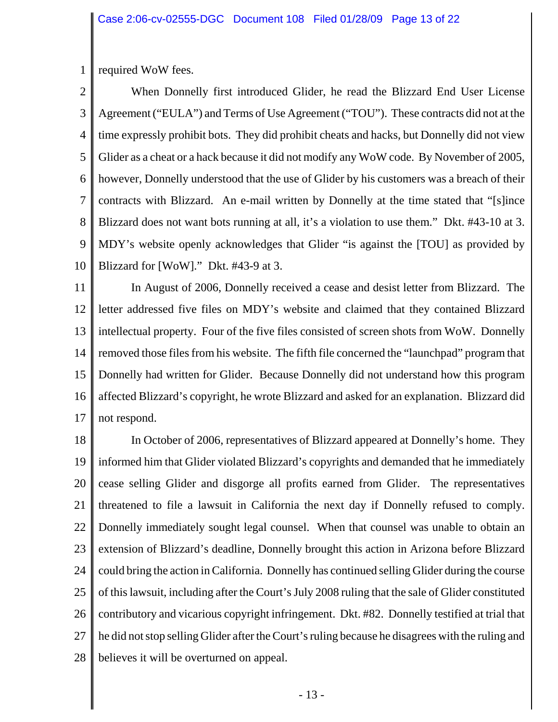1 required WoW fees.

2 3 4 5 6 7 8 9 10 When Donnelly first introduced Glider, he read the Blizzard End User License Agreement ("EULA") and Terms of Use Agreement ("TOU"). These contracts did not at the time expressly prohibit bots. They did prohibit cheats and hacks, but Donnelly did not view Glider as a cheat or a hack because it did not modify any WoW code. By November of 2005, however, Donnelly understood that the use of Glider by his customers was a breach of their contracts with Blizzard. An e-mail written by Donnelly at the time stated that "[s]ince Blizzard does not want bots running at all, it's a violation to use them." Dkt. #43-10 at 3. MDY's website openly acknowledges that Glider "is against the [TOU] as provided by Blizzard for [WoW]." Dkt. #43-9 at 3.

11 12 13 14 15 16 17 In August of 2006, Donnelly received a cease and desist letter from Blizzard. The letter addressed five files on MDY's website and claimed that they contained Blizzard intellectual property. Four of the five files consisted of screen shots from WoW. Donnelly removed those files from his website. The fifth file concerned the "launchpad" program that Donnelly had written for Glider. Because Donnelly did not understand how this program affected Blizzard's copyright, he wrote Blizzard and asked for an explanation. Blizzard did not respond.

18 19 20 21 22 23 24 25 26 27 28 In October of 2006, representatives of Blizzard appeared at Donnelly's home. They informed him that Glider violated Blizzard's copyrights and demanded that he immediately cease selling Glider and disgorge all profits earned from Glider. The representatives threatened to file a lawsuit in California the next day if Donnelly refused to comply. Donnelly immediately sought legal counsel. When that counsel was unable to obtain an extension of Blizzard's deadline, Donnelly brought this action in Arizona before Blizzard could bring the action in California. Donnelly has continued selling Glider during the course of this lawsuit, including after the Court's July 2008 ruling that the sale of Glider constituted contributory and vicarious copyright infringement. Dkt. #82. Donnelly testified at trial that he did not stop selling Glider after the Court's ruling because he disagrees with the ruling and believes it will be overturned on appeal.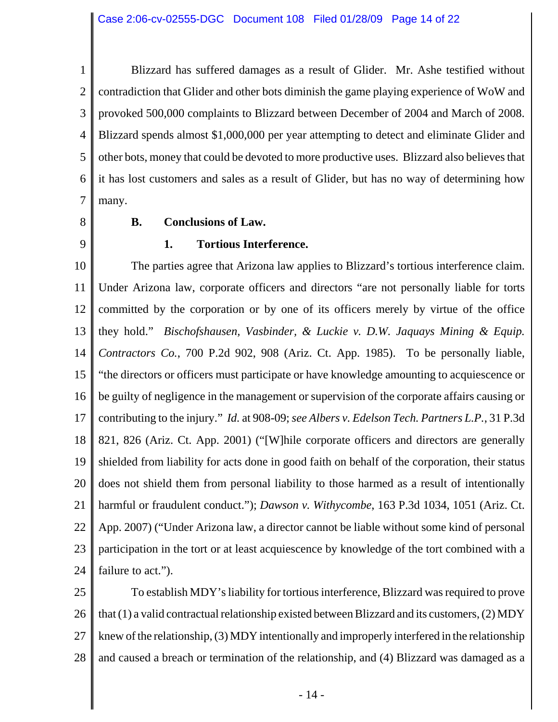1 2 3 4 5 6 7 Blizzard has suffered damages as a result of Glider. Mr. Ashe testified without contradiction that Glider and other bots diminish the game playing experience of WoW and provoked 500,000 complaints to Blizzard between December of 2004 and March of 2008. Blizzard spends almost \$1,000,000 per year attempting to detect and eliminate Glider and other bots, money that could be devoted to more productive uses. Blizzard also believes that it has lost customers and sales as a result of Glider, but has no way of determining how many.

8

### **B. Conclusions of Law.**

9

### **1. Tortious Interference.**

10 11 12 13 14 15 16 17 18 19 20 21 22 23 24 The parties agree that Arizona law applies to Blizzard's tortious interference claim. Under Arizona law, corporate officers and directors "are not personally liable for torts committed by the corporation or by one of its officers merely by virtue of the office they hold." *Bischofshausen, Vasbinder, & Luckie v. D.W. Jaquays Mining & Equip. Contractors Co.*, 700 P.2d 902, 908 (Ariz. Ct. App. 1985). To be personally liable, "the directors or officers must participate or have knowledge amounting to acquiescence or be guilty of negligence in the management or supervision of the corporate affairs causing or contributing to the injury." *Id.* at 908-09; *see Albers v. Edelson Tech. Partners L.P.*, 31 P.3d 821, 826 (Ariz. Ct. App. 2001) ("[W]hile corporate officers and directors are generally shielded from liability for acts done in good faith on behalf of the corporation, their status does not shield them from personal liability to those harmed as a result of intentionally harmful or fraudulent conduct."); *Dawson v. Withycombe*, 163 P.3d 1034, 1051 (Ariz. Ct. App. 2007) ("Under Arizona law, a director cannot be liable without some kind of personal participation in the tort or at least acquiescence by knowledge of the tort combined with a failure to act.").

25 26 27 28 To establish MDY's liability for tortious interference, Blizzard was required to prove that  $(1)$  a valid contractual relationship existed between Blizzard and its customers,  $(2)$  MDY knew of the relationship, (3) MDY intentionally and improperly interfered in the relationship and caused a breach or termination of the relationship, and (4) Blizzard was damaged as a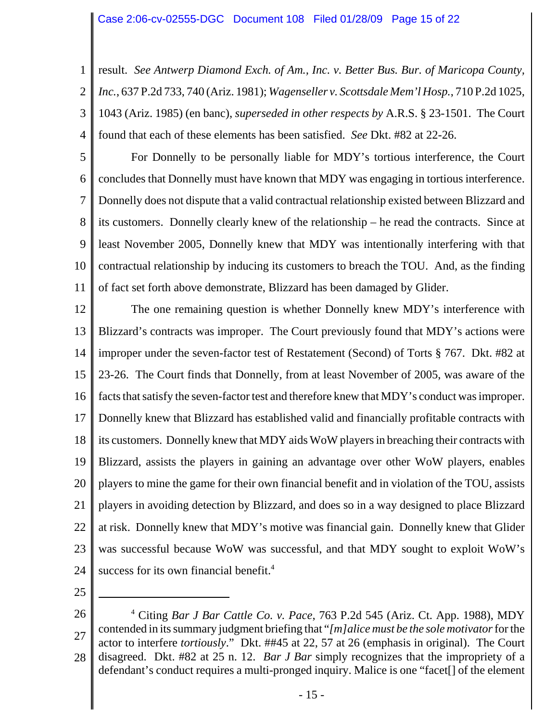1 2 3 4 result. *See Antwerp Diamond Exch. of Am., Inc. v. Better Bus. Bur. of Maricopa County, Inc.*, 637 P.2d 733, 740 (Ariz. 1981); *Wagenseller v. Scottsdale Mem'l Hosp.*, 710 P.2d 1025, 1043 (Ariz. 1985) (en banc), *superseded in other respects by* A.R.S. § 23-1501. The Court found that each of these elements has been satisfied. *See* Dkt. #82 at 22-26.

5 6 7 8 9 10 11 For Donnelly to be personally liable for MDY's tortious interference, the Court concludes that Donnelly must have known that MDY was engaging in tortious interference. Donnelly does not dispute that a valid contractual relationship existed between Blizzard and its customers. Donnelly clearly knew of the relationship – he read the contracts. Since at least November 2005, Donnelly knew that MDY was intentionally interfering with that contractual relationship by inducing its customers to breach the TOU. And, as the finding of fact set forth above demonstrate, Blizzard has been damaged by Glider.

12 13 14 15 16 17 18 19 20 21 22 23 24 The one remaining question is whether Donnelly knew MDY's interference with Blizzard's contracts was improper. The Court previously found that MDY's actions were improper under the seven-factor test of Restatement (Second) of Torts § 767. Dkt. #82 at 23-26. The Court finds that Donnelly, from at least November of 2005, was aware of the facts that satisfy the seven-factor test and therefore knew that MDY's conduct was improper. Donnelly knew that Blizzard has established valid and financially profitable contracts with its customers. Donnelly knew that MDY aids WoW players in breaching their contracts with Blizzard, assists the players in gaining an advantage over other WoW players, enables players to mine the game for their own financial benefit and in violation of the TOU, assists players in avoiding detection by Blizzard, and does so in a way designed to place Blizzard at risk. Donnelly knew that MDY's motive was financial gain. Donnelly knew that Glider was successful because WoW was successful, and that MDY sought to exploit WoW's success for its own financial benefit.<sup>4</sup>

<sup>26</sup> 27 28 4 Citing *Bar J Bar Cattle Co. v. Pace*, 763 P.2d 545 (Ariz. Ct. App. 1988), MDY contended in its summary judgment briefing that "*[m]alice must be the sole motivator* for the actor to interfere *tortiously*." Dkt. ##45 at 22, 57 at 26 (emphasis in original). The Court disagreed. Dkt. #82 at 25 n. 12. *Bar J Bar* simply recognizes that the impropriety of a defendant's conduct requires a multi-pronged inquiry. Malice is one "facet[] of the element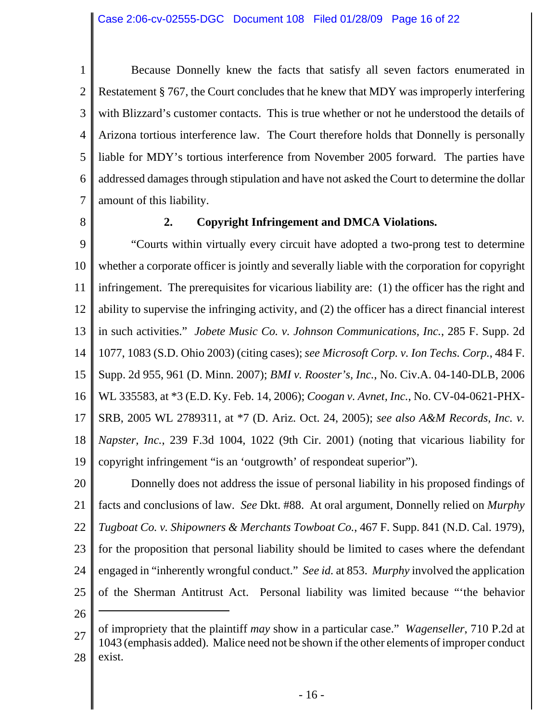1 2 3 4 5 6 7 Because Donnelly knew the facts that satisfy all seven factors enumerated in Restatement § 767, the Court concludes that he knew that MDY was improperly interfering with Blizzard's customer contacts. This is true whether or not he understood the details of Arizona tortious interference law. The Court therefore holds that Donnelly is personally liable for MDY's tortious interference from November 2005 forward. The parties have addressed damages through stipulation and have not asked the Court to determine the dollar amount of this liability.

8

# **2. Copyright Infringement and DMCA Violations.**

9 10 11 12 13 14 15 16 17 18 19 "Courts within virtually every circuit have adopted a two-prong test to determine whether a corporate officer is jointly and severally liable with the corporation for copyright infringement. The prerequisites for vicarious liability are: (1) the officer has the right and ability to supervise the infringing activity, and (2) the officer has a direct financial interest in such activities." *Jobete Music Co. v. Johnson Communications, Inc.*, 285 F. Supp. 2d 1077, 1083 (S.D. Ohio 2003) (citing cases); *see Microsoft Corp. v. Ion Techs. Corp.*, 484 F. Supp. 2d 955, 961 (D. Minn. 2007); *BMI v. Rooster's, Inc.*, No. Civ.A. 04-140-DLB, 2006 WL 335583, at \*3 (E.D. Ky. Feb. 14, 2006); *Coogan v. Avnet, Inc.*, No. CV-04-0621-PHX-SRB, 2005 WL 2789311, at \*7 (D. Ariz. Oct. 24, 2005); *see also A&M Records, Inc. v. Napster, Inc.*, 239 F.3d 1004, 1022 (9th Cir. 2001) (noting that vicarious liability for copyright infringement "is an 'outgrowth' of respondeat superior").

20 21 22 23 24 25 Donnelly does not address the issue of personal liability in his proposed findings of facts and conclusions of law. *See* Dkt. #88. At oral argument, Donnelly relied on *Murphy Tugboat Co. v. Shipowners & Merchants Towboat Co.*, 467 F. Supp. 841 (N.D. Cal. 1979), for the proposition that personal liability should be limited to cases where the defendant engaged in "inherently wrongful conduct." *See id.* at 853. *Murphy* involved the application of the Sherman Antitrust Act. Personal liability was limited because "'the behavior

<sup>27</sup> 28 of impropriety that the plaintiff *may* show in a particular case." *Wagenseller*, 710 P.2d at 1043 (emphasis added). Malice need not be shown if the other elements of improper conduct exist.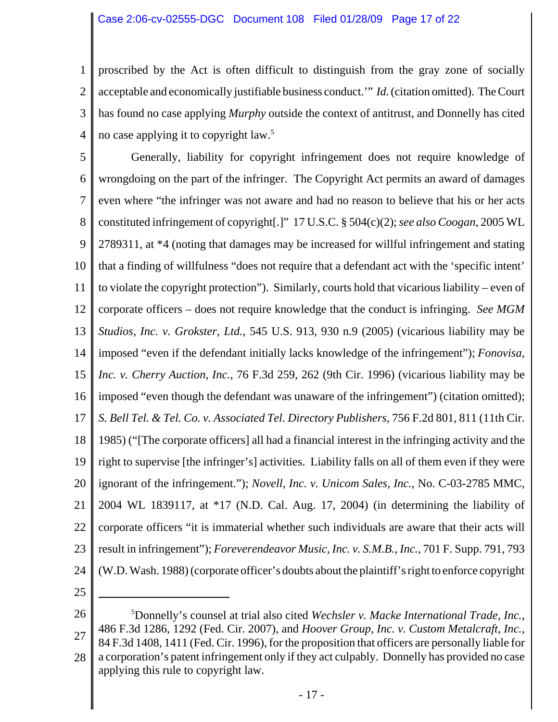1 2 3 4 proscribed by the Act is often difficult to distinguish from the gray zone of socially acceptable and economically justifiable business conduct.'" *Id.* (citation omitted). The Court has found no case applying *Murphy* outside the context of antitrust, and Donnelly has cited no case applying it to copyright law.5

5 6 7 8 9 10 11 12 13 14 15 16 17 18 19 20 21 22 23 24 Generally, liability for copyright infringement does not require knowledge of wrongdoing on the part of the infringer. The Copyright Act permits an award of damages even where "the infringer was not aware and had no reason to believe that his or her acts constituted infringement of copyright[.]" 17 U.S.C. § 504(c)(2); *see also Coogan*, 2005 WL 2789311, at \*4 (noting that damages may be increased for willful infringement and stating that a finding of willfulness "does not require that a defendant act with the 'specific intent' to violate the copyright protection"). Similarly, courts hold that vicarious liability – even of corporate officers – does not require knowledge that the conduct is infringing. *See MGM Studios, Inc. v. Grokster, Ltd.*, 545 U.S. 913, 930 n.9 (2005) (vicarious liability may be imposed "even if the defendant initially lacks knowledge of the infringement"); *Fonovisa, Inc. v. Cherry Auction, Inc.*, 76 F.3d 259, 262 (9th Cir. 1996) (vicarious liability may be imposed "even though the defendant was unaware of the infringement") (citation omitted); *S. Bell Tel. & Tel. Co. v. Associated Tel. Directory Publishers*, 756 F.2d 801, 811 (11th Cir. 1985) ("[The corporate officers] all had a financial interest in the infringing activity and the right to supervise [the infringer's] activities. Liability falls on all of them even if they were ignorant of the infringement."); *Novell, Inc. v. Unicom Sales, Inc.*, No. C-03-2785 MMC, 2004 WL 1839117, at \*17 (N.D. Cal. Aug. 17, 2004) (in determining the liability of corporate officers "it is immaterial whether such individuals are aware that their acts will result in infringement"); *Foreverendeavor Music, Inc. v. S.M.B., Inc.*, 701 F. Supp. 791, 793 (W.D. Wash. 1988) (corporate officer's doubts about the plaintiff's right to enforce copyright

<sup>26</sup> 27 28 5 Donnelly's counsel at trial also cited *Wechsler v. Macke International Trade, Inc.*, 486 F.3d 1286, 1292 (Fed. Cir. 2007), and *Hoover Group, Inc. v. Custom Metalcraft, Inc.*, 84 F.3d 1408, 1411 (Fed. Cir. 1996), for the proposition that officers are personally liable for a corporation's patent infringement only if they act culpably. Donnelly has provided no case applying this rule to copyright law.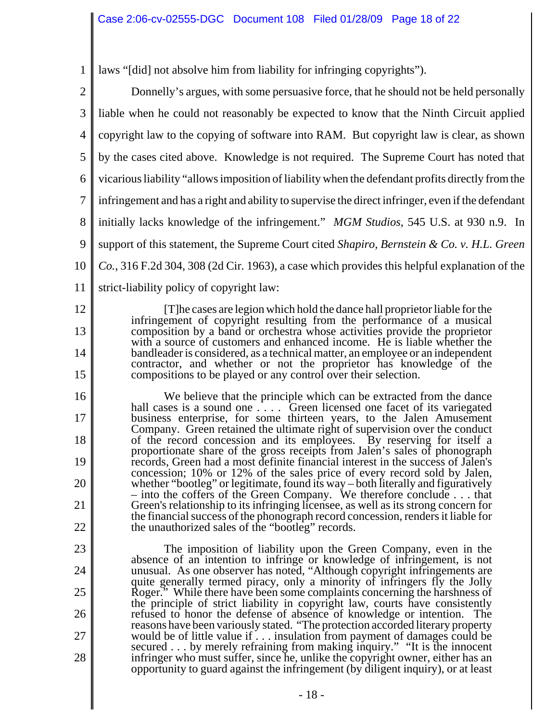1 laws "[did] not absolve him from liability for infringing copyrights").

2 3 4 5 6 7 8 9 10 11 Donnelly's argues, with some persuasive force, that he should not be held personally liable when he could not reasonably be expected to know that the Ninth Circuit applied copyright law to the copying of software into RAM. But copyright law is clear, as shown by the cases cited above. Knowledge is not required. The Supreme Court has noted that vicarious liability "allows imposition of liability when the defendant profits directly from the infringement and has a right and ability to supervise the direct infringer, even if the defendant initially lacks knowledge of the infringement." *MGM Studios*, 545 U.S. at 930 n.9. In support of this statement, the Supreme Court cited *Shapiro, Bernstein & Co. v. H.L. Green Co.*, 316 F.2d 304, 308 (2d Cir. 1963), a case which provides this helpful explanation of the

12 strict-liability policy of copyright law:

13

14

15

16

17

18

19

20

21

22

[T]he cases are legion which hold the dance hall proprietor liable for the infringement of copyright resulting from the performance of a musical composition by a band or orchestra whose activities provide the proprietor with a source of customers and enhanced income. He is liable whether the bandleader is considered, as a technical matter, an employee or an independent contractor, and whether or not the proprietor has knowledge of the compositions to be played or any control over their selection.

We believe that the principle which can be extracted from the dance hall cases is a sound one  $\ldots$ . Green licensed one facet of its variegated business enterprise, for some thirteen years, to the Jalen Amusement Company. Green retained the ultimate right of supervision over the conduct of the record concession and its employees. By reserving for itself a proportionate share of the gross receipts from Jalen's sales of phonograph records, Green had a most definite financial interest in the success of Jalen's concession; 10% or 12% of the sales price of every record sold by Jalen, whether "bootleg" or legitimate, found its way – both literally and figuratively – into the coffers of the Green Company. We therefore conclude . . . that Green's relationship to its infringing licensee, as well as its strong concern for the financial success of the phonograph record concession, renders it liable for the unauthorized sales of the "bootleg" records.

23 24 25 26 27 28 The imposition of liability upon the Green Company, even in the absence of an intention to infringe or knowledge of infringement, is not unusual. As one observer has noted, "Although copyright infringements are quite generally termed piracy, only a minority of infringers fly the Jolly Roger." While there have been some complaints concerning the harshness of the principle of strict liability in copyright law, courts have consistently refused to honor the defense of absence of knowledge or intention. The reasons have been variously stated. "The protection accorded literary property would be of little value if . . . insulation from payment of damages could be secured . . . by merely refraining from making inquiry." "It is the innocent infringer who must suffer, since he, unlike the copyright owner, either has an opportunity to guard against the infringement (by diligent inquiry), or at least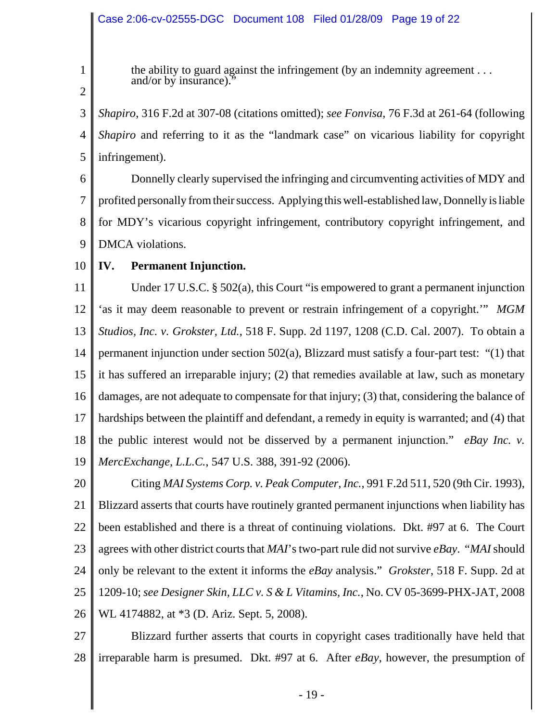1 2 the ability to guard against the infringement (by an indemnity agreement . . . and/or by insurance).

3 4 5 *Shapiro*, 316 F.2d at 307-08 (citations omitted); *see Fonvisa*, 76 F.3d at 261-64 (following *Shapiro* and referring to it as the "landmark case" on vicarious liability for copyright infringement).

6 7 8 9 Donnelly clearly supervised the infringing and circumventing activities of MDY and profited personally from their success. Applying this well-established law, Donnelly is liable for MDY's vicarious copyright infringement, contributory copyright infringement, and DMCA violations.

10 **IV. Permanent Injunction.**

11 12 13 14 15 16 17 18 19 Under 17 U.S.C. § 502(a), this Court "is empowered to grant a permanent injunction 'as it may deem reasonable to prevent or restrain infringement of a copyright.'" *MGM Studios, Inc. v. Grokster, Ltd.*, 518 F. Supp. 2d 1197, 1208 (C.D. Cal. 2007). To obtain a permanent injunction under section 502(a), Blizzard must satisfy a four-part test: "(1) that it has suffered an irreparable injury; (2) that remedies available at law, such as monetary damages, are not adequate to compensate for that injury; (3) that, considering the balance of hardships between the plaintiff and defendant, a remedy in equity is warranted; and (4) that the public interest would not be disserved by a permanent injunction." *eBay Inc. v. MercExchange, L.L.C.*, 547 U.S. 388, 391-92 (2006).

20 21 22 23 24 25 26 Citing *MAI Systems Corp. v. Peak Computer, Inc.*, 991 F.2d 511, 520 (9th Cir. 1993), Blizzard asserts that courts have routinely granted permanent injunctions when liability has been established and there is a threat of continuing violations. Dkt. #97 at 6. The Court agrees with other district courts that *MAI*'s two-part rule did not survive *eBay*. "*MAI* should only be relevant to the extent it informs the *eBay* analysis." *Grokster*, 518 F. Supp. 2d at 1209-10; *see Designer Skin, LLC v. S & L Vitamins, Inc.*, No. CV 05-3699-PHX-JAT, 2008 WL 4174882, at \*3 (D. Ariz. Sept. 5, 2008).

27 28 Blizzard further asserts that courts in copyright cases traditionally have held that irreparable harm is presumed. Dkt. #97 at 6. After *eBay*, however, the presumption of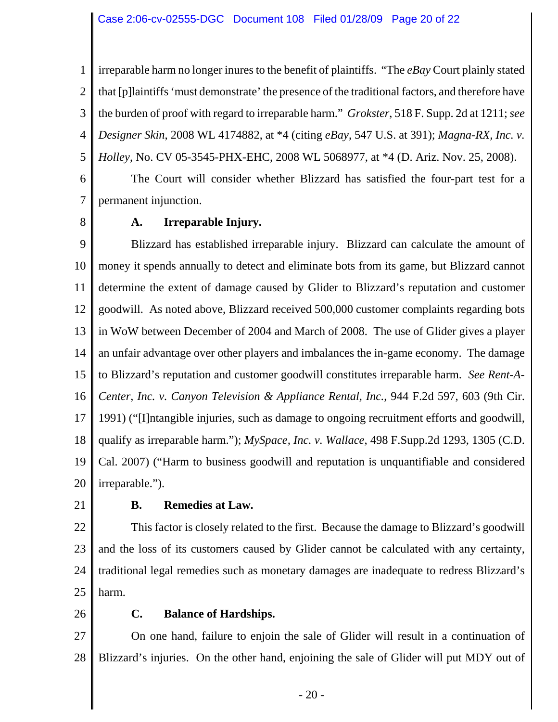1 2 3 4 5 irreparable harm no longer inures to the benefit of plaintiffs. "The *eBay* Court plainly stated that [p]laintiffs 'must demonstrate' the presence of the traditional factors, and therefore have the burden of proof with regard to irreparable harm." *Grokster*, 518 F. Supp. 2d at 1211; *see Designer Skin*, 2008 WL 4174882, at \*4 (citing *eBay*, 547 U.S. at 391); *Magna-RX, Inc. v. Holley*, No. CV 05-3545-PHX-EHC, 2008 WL 5068977, at \*4 (D. Ariz. Nov. 25, 2008).

6 7 The Court will consider whether Blizzard has satisfied the four-part test for a permanent injunction.

8

# **A. Irreparable Injury.**

9 10 11 12 13 14 15 16 17 18 19 20 Blizzard has established irreparable injury. Blizzard can calculate the amount of money it spends annually to detect and eliminate bots from its game, but Blizzard cannot determine the extent of damage caused by Glider to Blizzard's reputation and customer goodwill. As noted above, Blizzard received 500,000 customer complaints regarding bots in WoW between December of 2004 and March of 2008. The use of Glider gives a player an unfair advantage over other players and imbalances the in-game economy. The damage to Blizzard's reputation and customer goodwill constitutes irreparable harm. *See Rent-A-Center, Inc. v. Canyon Television & Appliance Rental, Inc.*, 944 F.2d 597, 603 (9th Cir. 1991) ("[I]ntangible injuries, such as damage to ongoing recruitment efforts and goodwill, qualify as irreparable harm."); *MySpace, Inc. v. Wallace*, 498 F.Supp.2d 1293, 1305 (C.D. Cal. 2007) ("Harm to business goodwill and reputation is unquantifiable and considered irreparable.").

21

# **B. Remedies at Law.**

22 23 24 25 This factor is closely related to the first. Because the damage to Blizzard's goodwill and the loss of its customers caused by Glider cannot be calculated with any certainty, traditional legal remedies such as monetary damages are inadequate to redress Blizzard's harm.

26

# **C. Balance of Hardships.**

27 28 On one hand, failure to enjoin the sale of Glider will result in a continuation of Blizzard's injuries. On the other hand, enjoining the sale of Glider will put MDY out of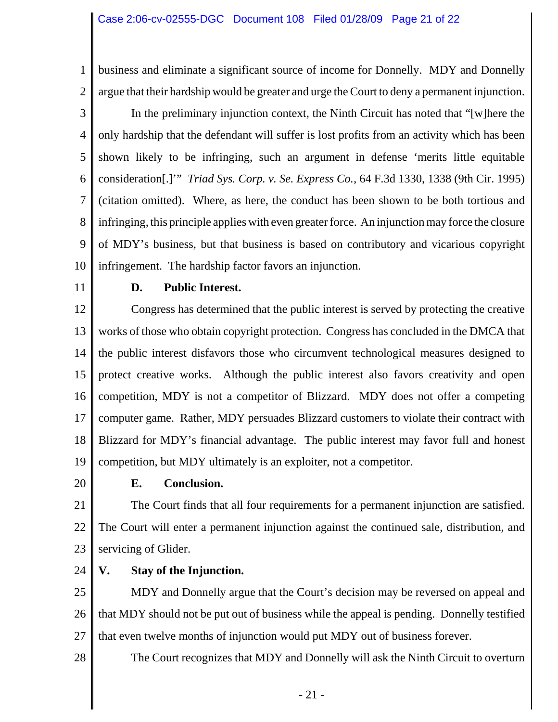1 2 business and eliminate a significant source of income for Donnelly. MDY and Donnelly argue that their hardship would be greater and urge the Court to deny a permanent injunction.

3 4 5 6 7 8 9 10 In the preliminary injunction context, the Ninth Circuit has noted that "[w]here the only hardship that the defendant will suffer is lost profits from an activity which has been shown likely to be infringing, such an argument in defense 'merits little equitable consideration[.]'" *Triad Sys. Corp. v. Se. Express Co.*, 64 F.3d 1330, 1338 (9th Cir. 1995) (citation omitted). Where, as here, the conduct has been shown to be both tortious and infringing, this principle applies with even greater force. An injunction may force the closure of MDY's business, but that business is based on contributory and vicarious copyright infringement. The hardship factor favors an injunction.

11

### **D. Public Interest.**

12 13 14 15 16 17 18 19 Congress has determined that the public interest is served by protecting the creative works of those who obtain copyright protection. Congress has concluded in the DMCA that the public interest disfavors those who circumvent technological measures designed to protect creative works. Although the public interest also favors creativity and open competition, MDY is not a competitor of Blizzard. MDY does not offer a competing computer game. Rather, MDY persuades Blizzard customers to violate their contract with Blizzard for MDY's financial advantage. The public interest may favor full and honest competition, but MDY ultimately is an exploiter, not a competitor.

20

#### **E. Conclusion.**

21 22 23 The Court finds that all four requirements for a permanent injunction are satisfied. The Court will enter a permanent injunction against the continued sale, distribution, and servicing of Glider.

24 **V. Stay of the Injunction.**

25 26 27 MDY and Donnelly argue that the Court's decision may be reversed on appeal and that MDY should not be put out of business while the appeal is pending. Donnelly testified that even twelve months of injunction would put MDY out of business forever.

28 The Court recognizes that MDY and Donnelly will ask the Ninth Circuit to overturn